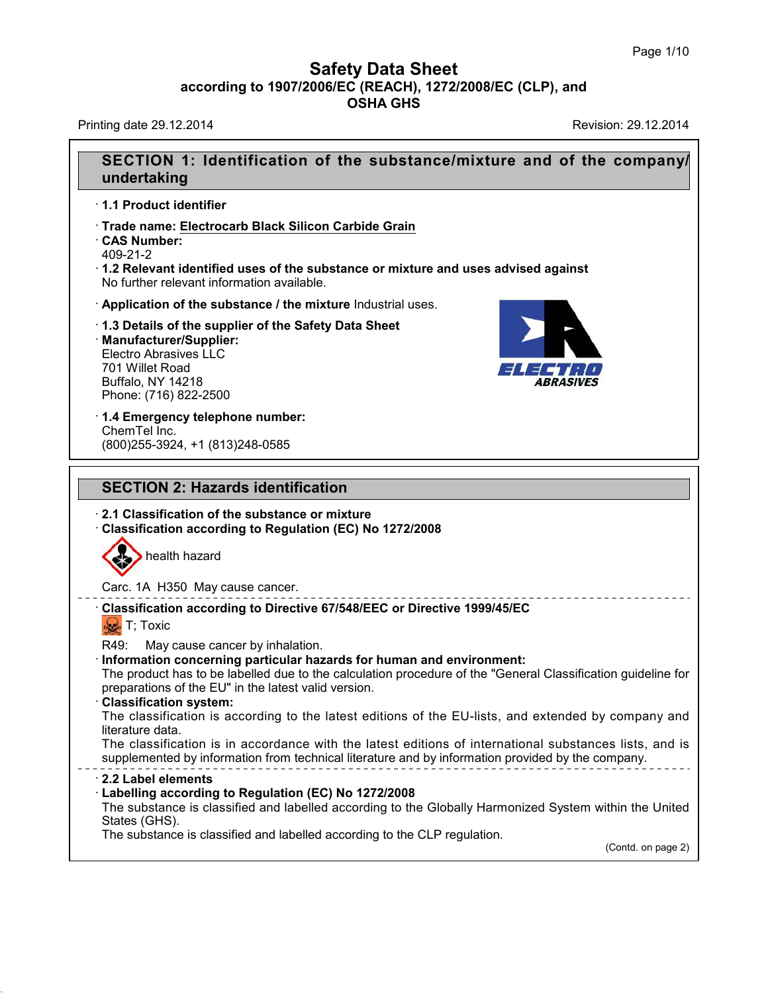Printing date 29.12.2014 Revision: 29.12.2014

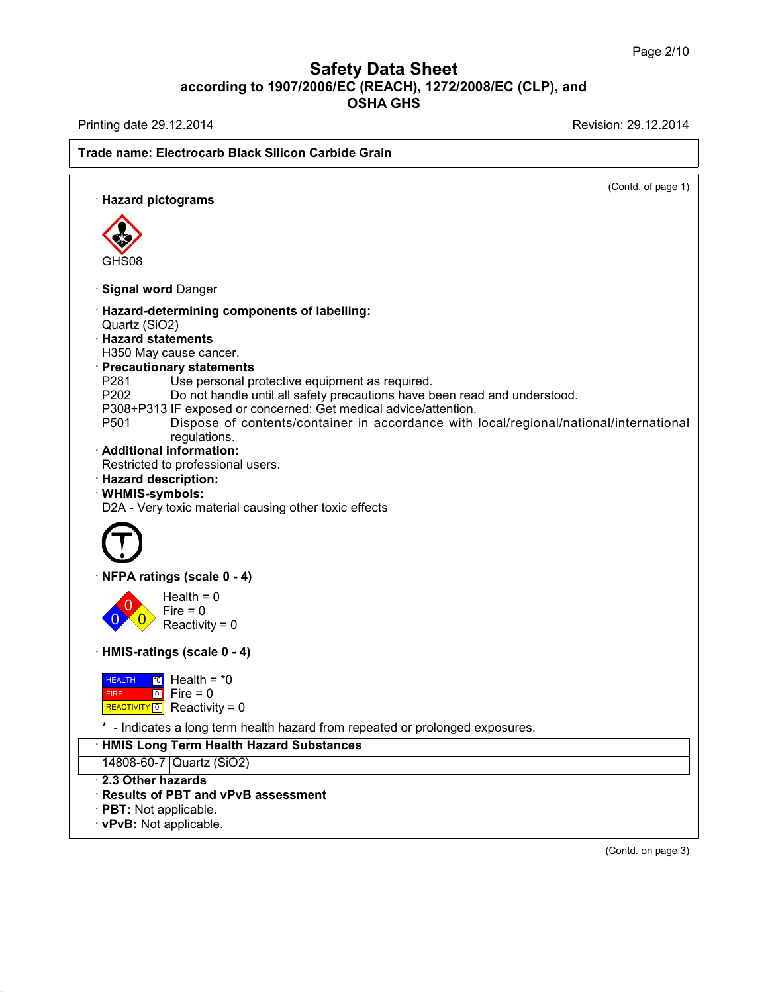Printing date 29.12.2014 **Printing date 29.12.2014** 

# **Trade name: Electrocarb Black Silicon Carbide Grain** (Contd. of page 1) · **Hazard pictograms** GHS08 · **Signal word** Danger · **Hazard-determining components of labelling:** Quartz (SiO2) · **Hazard statements** H350 May cause cancer. · **Precautionary statements** P281 Use personal protective equipment as required.<br>P202 Do not handle until all safety precautions have b Do not handle until all safety precautions have been read and understood. P308+P313 IF exposed or concerned: Get medical advice/attention. P501 Dispose of contents/container in accordance with local/regional/national/international regulations. · **Additional information:** Restricted to professional users. · **Hazard description:** · **WHMIS-symbols:** D2A - Very toxic material causing other toxic effects · **NFPA ratings (scale 0 - 4)** 0 0  $\overline{\mathbf{0}}$  $Health = 0$  $Fire = 0$  $Reactivity = 0$ · **HMIS-ratings (scale 0 - 4) HEALTH**  FIRE REACTIVITY<sup>O</sup> Reactivity = 0 \*0 Health = \*0 0 Fire = 0 \* - Indicates a long term health hazard from repeated or prolonged exposures. · **HMIS Long Term Health Hazard Substances** 14808-60-7 Quartz (SiO2) · **2.3 Other hazards** · **Results of PBT and vPvB assessment** · **PBT:** Not applicable. · **vPvB:** Not applicable.

(Contd. on page 3)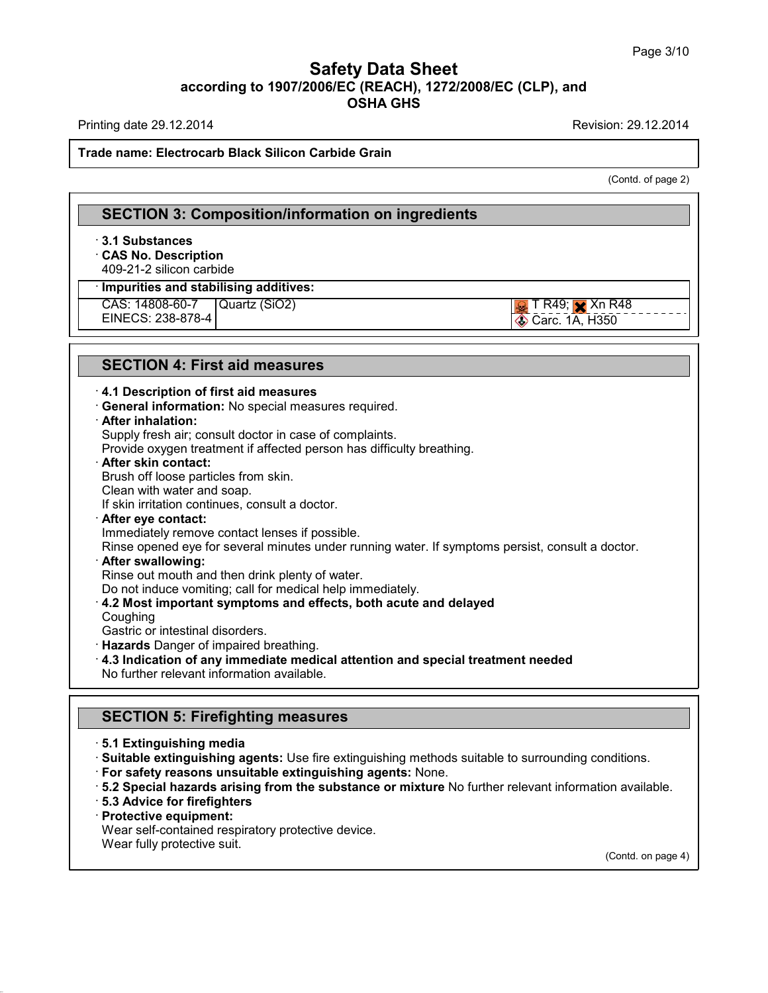Printing date 29.12.2014 **Printing date 29.12.2014** 

#### **Trade name: Electrocarb Black Silicon Carbide Grain**

(Contd. of page 2)

## **SECTION 3: Composition/information on ingredients** · **3.1 Substances** · **CAS No. Description** 409-21-2 silicon carbide · **Impurities and stabilising additives:** CAS: 14808-60-7 EINECS: 238-878-4 Quartz (SiO2)  $\sqrt{2}$  T R49;  $\sqrt{2}$  Xn R48 Carc. 1A, H350

## **SECTION 4: First aid measures**

#### · **4.1 Description of first aid measures**

· **General information:** No special measures required.

#### · **After inhalation:**

Supply fresh air; consult doctor in case of complaints.

Provide oxygen treatment if affected person has difficulty breathing.

#### · **After skin contact:**

Brush off loose particles from skin.

Clean with water and soap.

If skin irritation continues, consult a doctor.

· **After eye contact:**

Immediately remove contact lenses if possible.

Rinse opened eye for several minutes under running water. If symptoms persist, consult a doctor.

### · **After swallowing:**

Rinse out mouth and then drink plenty of water.

Do not induce vomiting; call for medical help immediately.

- · **4.2 Most important symptoms and effects, both acute and delayed**
- Coughing

Gastric or intestinal disorders.

· **Hazards** Danger of impaired breathing.

· **4.3 Indication of any immediate medical attention and special treatment needed**

No further relevant information available.

## **SECTION 5: Firefighting measures**

```
· 5.1 Extinguishing media
```
· **Suitable extinguishing agents:** Use fire extinguishing methods suitable to surrounding conditions.

· **For safety reasons unsuitable extinguishing agents:** None.

· **5.2 Special hazards arising from the substance or mixture** No further relevant information available.

- · **5.3 Advice for firefighters**
- · **Protective equipment:**

Wear self-contained respiratory protective device.

Wear fully protective suit.

(Contd. on page 4)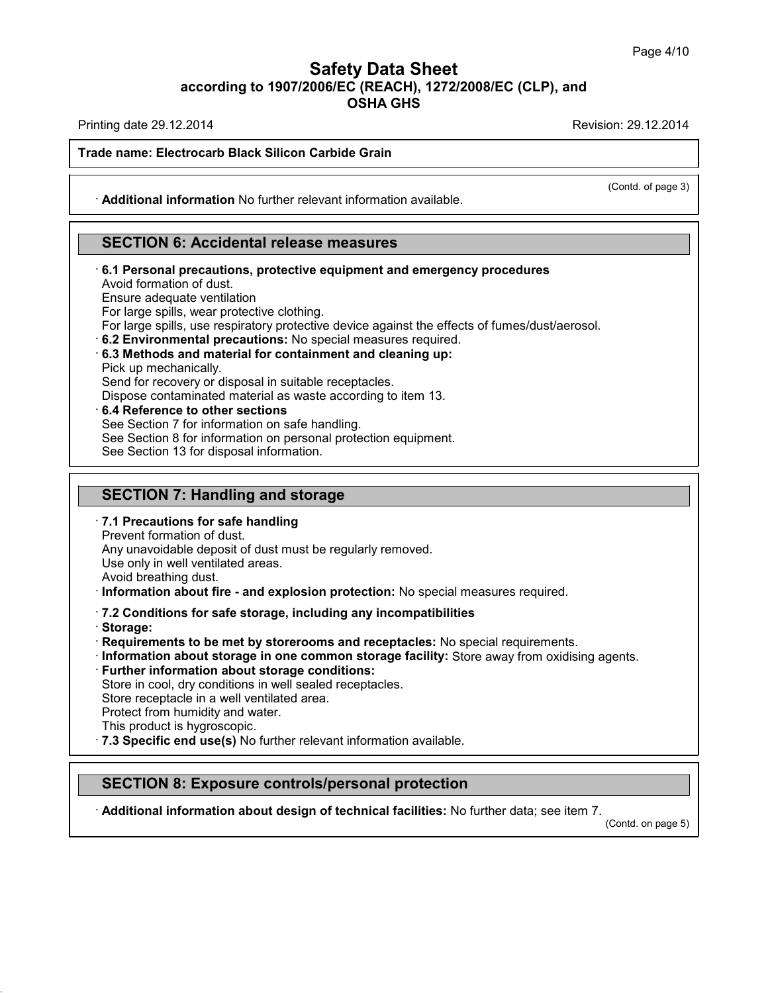Printing date 29.12.2014 **Printing date 29.12.2014** 

(Contd. of page 3)

#### **Trade name: Electrocarb Black Silicon Carbide Grain**

· **Additional information** No further relevant information available.

## **SECTION 6: Accidental release measures**

- · **6.1 Personal precautions, protective equipment and emergency procedures** Avoid formation of dust. Ensure adequate ventilation For large spills, wear protective clothing. For large spills, use respiratory protective device against the effects of fumes/dust/aerosol. · **6.2 Environmental precautions:** No special measures required.
- · **6.3 Methods and material for containment and cleaning up:**

Pick up mechanically.

Send for recovery or disposal in suitable receptacles.

Dispose contaminated material as waste according to item 13.

· **6.4 Reference to other sections**

See Section 7 for information on safe handling.

See Section 8 for information on personal protection equipment.

See Section 13 for disposal information.

## **SECTION 7: Handling and storage**

· **7.1 Precautions for safe handling**

Prevent formation of dust.

Any unavoidable deposit of dust must be regularly removed.

Use only in well ventilated areas.

Avoid breathing dust.

· **Information about fire - and explosion protection:** No special measures required.

#### · **7.2 Conditions for safe storage, including any incompatibilities**

· **Storage:**

· **Requirements to be met by storerooms and receptacles:** No special requirements.

· **Information about storage in one common storage facility:** Store away from oxidising agents.

· **Further information about storage conditions:**

Store in cool, dry conditions in well sealed receptacles.

Store receptacle in a well ventilated area.

Protect from humidity and water.

- This product is hygroscopic.
- · **7.3 Specific end use(s)** No further relevant information available.

## **SECTION 8: Exposure controls/personal protection**

· **Additional information about design of technical facilities:** No further data; see item 7.

(Contd. on page 5)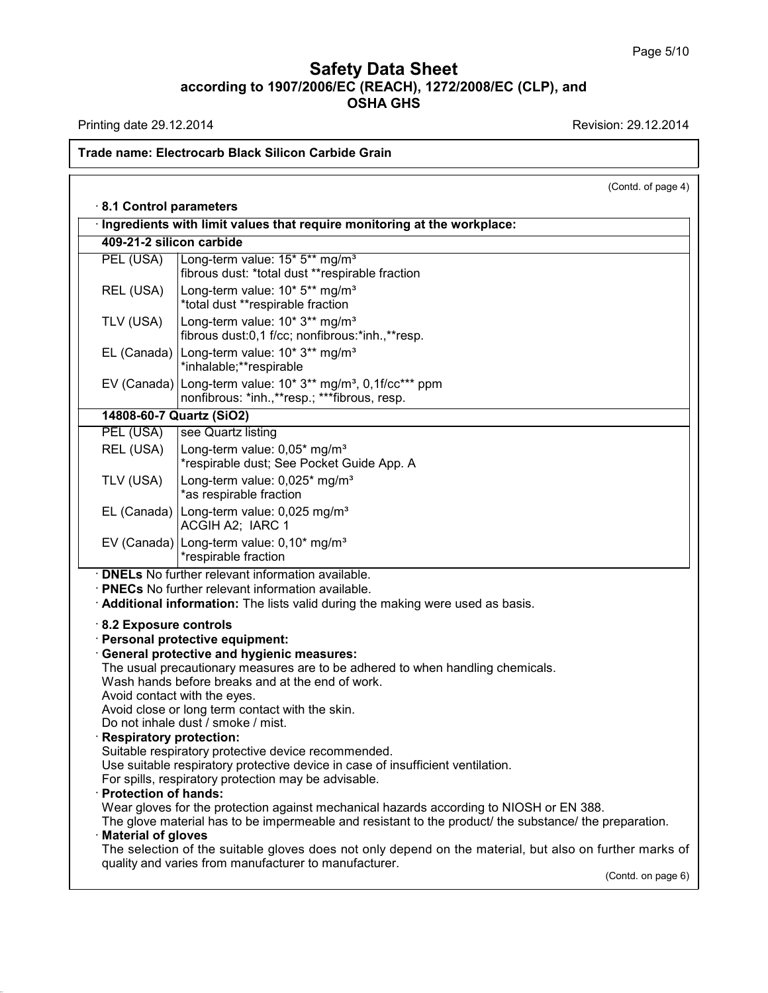Printing date 29.12.2014 **Revision: 29.12.2014** 

# **Trade name: Electrocarb Black Silicon Carbide Grain**

|                                                                                                                                                                                                                                                                                               | (Contd. of page 4)                                                                                                                                                                                |  |  |  |
|-----------------------------------------------------------------------------------------------------------------------------------------------------------------------------------------------------------------------------------------------------------------------------------------------|---------------------------------------------------------------------------------------------------------------------------------------------------------------------------------------------------|--|--|--|
| 8.1 Control parameters                                                                                                                                                                                                                                                                        |                                                                                                                                                                                                   |  |  |  |
| Ingredients with limit values that require monitoring at the workplace:                                                                                                                                                                                                                       |                                                                                                                                                                                                   |  |  |  |
| 409-21-2 silicon carbide                                                                                                                                                                                                                                                                      |                                                                                                                                                                                                   |  |  |  |
| PEL (USA)                                                                                                                                                                                                                                                                                     | Long-term value: 15* 5** mg/m <sup>3</sup><br>fibrous dust: *total dust **respirable fraction                                                                                                     |  |  |  |
| REL (USA)                                                                                                                                                                                                                                                                                     | Long-term value: 10* 5** mg/m <sup>3</sup><br>*total dust **respirable fraction                                                                                                                   |  |  |  |
| TLV (USA)                                                                                                                                                                                                                                                                                     | Long-term value: 10* 3** mg/m <sup>3</sup><br>fibrous dust:0,1 f/cc; nonfibrous:*inh.,**resp.                                                                                                     |  |  |  |
|                                                                                                                                                                                                                                                                                               | EL (Canada)   Long-term value: 10* 3** mg/m <sup>3</sup><br>*inhalable;**respirable                                                                                                               |  |  |  |
|                                                                                                                                                                                                                                                                                               | EV (Canada) Long-term value: 10* 3** mg/m <sup>3</sup> , 0,1f/cc*** ppm<br>nonfibrous: *inh.,**resp.; ***fibrous, resp.                                                                           |  |  |  |
| 14808-60-7 Quartz (SiO2)                                                                                                                                                                                                                                                                      |                                                                                                                                                                                                   |  |  |  |
| PEL (USA)                                                                                                                                                                                                                                                                                     | see Quartz listing                                                                                                                                                                                |  |  |  |
| REL (USA)                                                                                                                                                                                                                                                                                     | Long-term value: 0,05* mg/m <sup>3</sup><br>*respirable dust; See Pocket Guide App. A                                                                                                             |  |  |  |
| TLV (USA)                                                                                                                                                                                                                                                                                     | Long-term value: 0,025* mg/m <sup>3</sup><br>*as respirable fraction                                                                                                                              |  |  |  |
|                                                                                                                                                                                                                                                                                               | EL (Canada)   Long-term value: $0,025 \text{ mg/m}^3$<br>ACGIH A2; IARC 1                                                                                                                         |  |  |  |
|                                                                                                                                                                                                                                                                                               | EV (Canada) Long-term value: $0.10*$ mg/m <sup>3</sup><br>*respirable fraction                                                                                                                    |  |  |  |
| · <b>DNELs</b> No further relevant information available.<br>· PNECs No further relevant information available.<br>Additional information: The lists valid during the making were used as basis.                                                                                              |                                                                                                                                                                                                   |  |  |  |
| 8.2 Exposure controls<br>· Personal protective equipment:<br>General protective and hygienic measures:                                                                                                                                                                                        |                                                                                                                                                                                                   |  |  |  |
| The usual precautionary measures are to be adhered to when handling chemicals.<br>Wash hands before breaks and at the end of work.<br>Avoid contact with the eyes.<br>Avoid close or long term contact with the skin.<br>Do not inhale dust / smoke / mist.<br><b>Respiratory protection:</b> |                                                                                                                                                                                                   |  |  |  |
| · Protection of hands:                                                                                                                                                                                                                                                                        | Suitable respiratory protective device recommended.<br>Use suitable respiratory protective device in case of insufficient ventilation.<br>For spills, respiratory protection may be advisable.    |  |  |  |
| <b>Material of gloves</b>                                                                                                                                                                                                                                                                     | Wear gloves for the protection against mechanical hazards according to NIOSH or EN 388.<br>The glove material has to be impermeable and resistant to the product/ the substance/ the preparation. |  |  |  |
|                                                                                                                                                                                                                                                                                               | The selection of the suitable gloves does not only depend on the material, but also on further marks of<br>quality and varies from manufacturer to manufacturer.                                  |  |  |  |
|                                                                                                                                                                                                                                                                                               | (Contd. on page 6)                                                                                                                                                                                |  |  |  |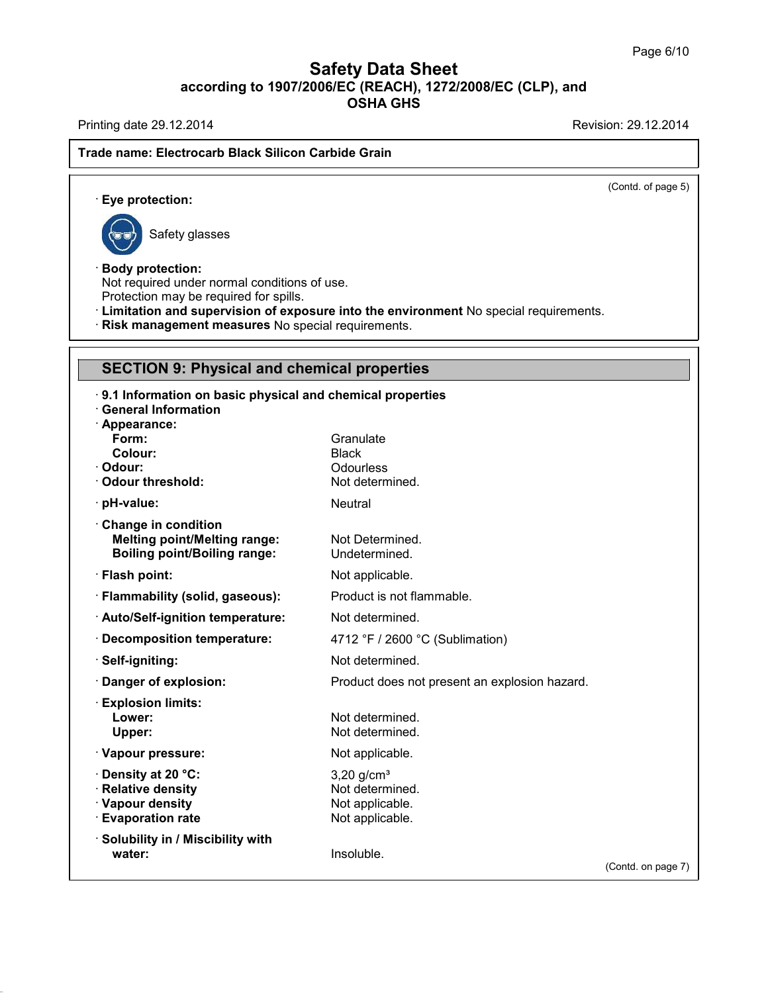Printing date 29.12.2014 **Revision: 29.12.2014** 

### **Trade name: Electrocarb Black Silicon Carbide Grain**

(Contd. of page 5)

· **Eye protection:**



Safety glasses

## · **Body protection:**

Not required under normal conditions of use.

Protection may be required for spills.

· **Limitation and supervision of exposure into the environment** No special requirements.

· **Risk management measures** No special requirements.

# **SECTION 9: Physical and chemical properties**

| 9.1 Information on basic physical and chemical properties |                                               |                    |
|-----------------------------------------------------------|-----------------------------------------------|--------------------|
| <b>General Information</b>                                |                                               |                    |
| · Appearance:<br>Form:                                    | Granulate                                     |                    |
| Colour:                                                   | <b>Black</b>                                  |                    |
| Odour:                                                    | Odourless                                     |                    |
| <b>Odour threshold:</b>                                   | Not determined.                               |                    |
| · pH-value:                                               | <b>Neutral</b>                                |                    |
| Change in condition                                       |                                               |                    |
| <b>Melting point/Melting range:</b>                       | Not Determined.                               |                    |
| <b>Boiling point/Boiling range:</b>                       | Undetermined.                                 |                    |
| · Flash point:                                            | Not applicable.                               |                    |
| · Flammability (solid, gaseous):                          | Product is not flammable.                     |                    |
| · Auto/Self-ignition temperature:                         | Not determined.                               |                    |
| <b>Decomposition temperature:</b>                         | 4712 °F / 2600 °C (Sublimation)               |                    |
| · Self-igniting:                                          | Not determined.                               |                    |
| Danger of explosion:                                      | Product does not present an explosion hazard. |                    |
| <b>Explosion limits:</b>                                  |                                               |                    |
| Lower:                                                    | Not determined.                               |                    |
| Upper:                                                    | Not determined.                               |                    |
| · Vapour pressure:                                        | Not applicable.                               |                    |
| Density at 20 °C:                                         | $3,20$ g/cm <sup>3</sup>                      |                    |
| <b>Relative density</b>                                   | Not determined.                               |                    |
| · Vapour density                                          | Not applicable.                               |                    |
| <b>Evaporation rate</b>                                   | Not applicable.                               |                    |
| <b>Solubility in / Miscibility with</b>                   |                                               |                    |
| water:                                                    | Insoluble.                                    | (Contd. on page 7) |
|                                                           |                                               |                    |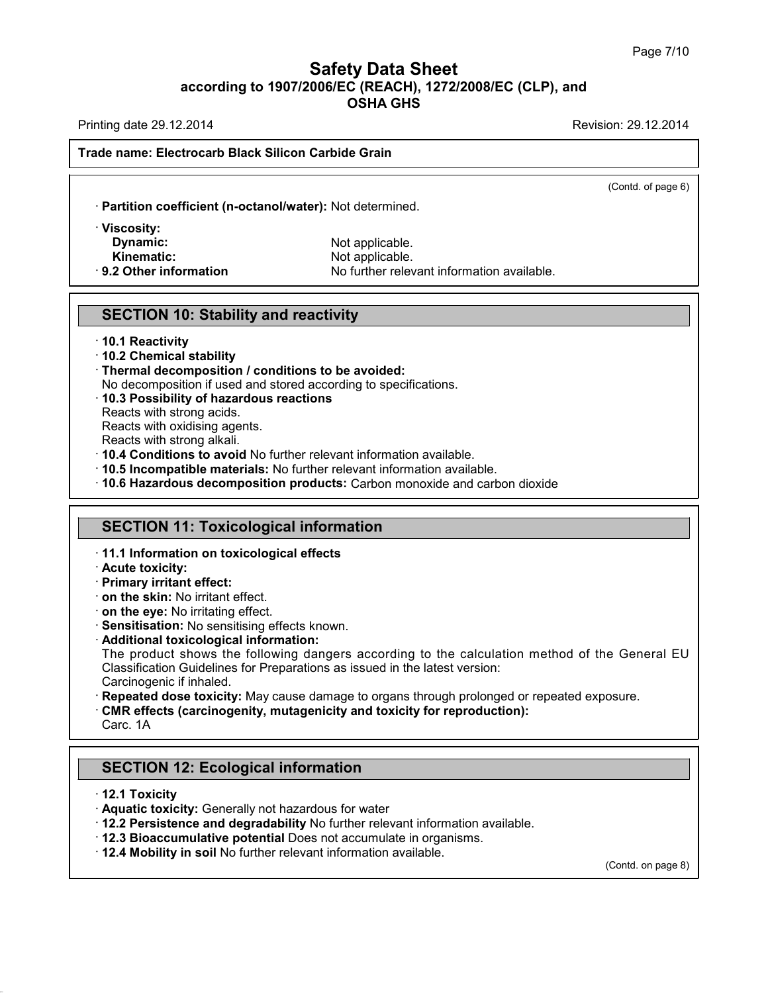Printing date 29.12.2014 **Printing date 29.12.2014** 

(Contd. of page 6)

#### **Trade name: Electrocarb Black Silicon Carbide Grain**

· **Partition coefficient (n-octanol/water):** Not determined.

· **Viscosity: Dynamic:** Not applicable.

**Kinematic:** Not applicable. · **9.2 Other information** No further relevant information available.

### **SECTION 10: Stability and reactivity**

#### · **10.1 Reactivity**

- · **10.2 Chemical stability**
- · **Thermal decomposition / conditions to be avoided:**
- No decomposition if used and stored according to specifications.
- · **10.3 Possibility of hazardous reactions**
- Reacts with strong acids.
- Reacts with oxidising agents.
- Reacts with strong alkali.
- · **10.4 Conditions to avoid** No further relevant information available.
- · **10.5 Incompatible materials:** No further relevant information available.
- · **10.6 Hazardous decomposition products:** Carbon monoxide and carbon dioxide

## **SECTION 11: Toxicological information**

- · **11.1 Information on toxicological effects**
- · **Acute toxicity:**
- · **Primary irritant effect:**
- · **on the skin:** No irritant effect.
- · **on the eye:** No irritating effect.
- · **Sensitisation:** No sensitising effects known.
- · **Additional toxicological information:**

The product shows the following dangers according to the calculation method of the General EU Classification Guidelines for Preparations as issued in the latest version: Carcinogenic if inhaled.

- · **Repeated dose toxicity:** May cause damage to organs through prolonged or repeated exposure.
- · **CMR effects (carcinogenity, mutagenicity and toxicity for reproduction):**

Carc. 1A

# **SECTION 12: Ecological information**

- · **12.1 Toxicity**
- · **Aquatic toxicity:** Generally not hazardous for water
- · **12.2 Persistence and degradability** No further relevant information available.
- · **12.3 Bioaccumulative potential** Does not accumulate in organisms.
- · **12.4 Mobility in soil** No further relevant information available.

(Contd. on page 8)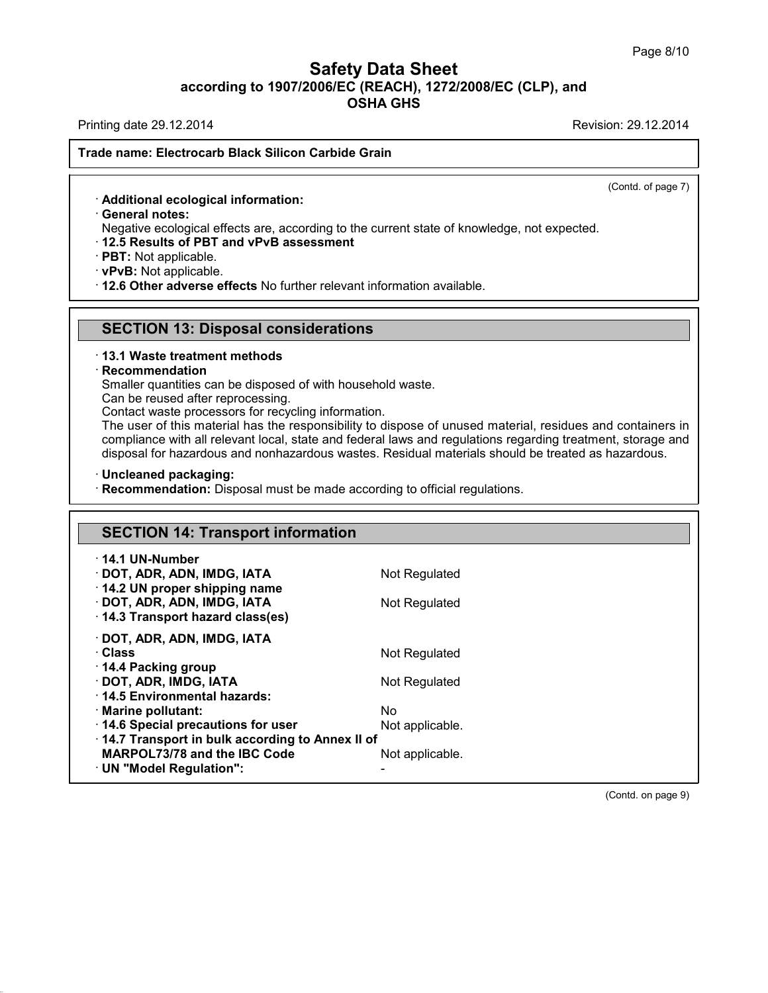Printing date 29.12.2014 **Printing date 29.12.2014** 

#### **Trade name: Electrocarb Black Silicon Carbide Grain**

(Contd. of page 7)

· **Additional ecological information:**

· **General notes:**

Negative ecological effects are, according to the current state of knowledge, not expected.

· **12.5 Results of PBT and vPvB assessment**

· **PBT:** Not applicable.

· **vPvB:** Not applicable.

· **12.6 Other adverse effects** No further relevant information available.

### **SECTION 13: Disposal considerations**

#### · **13.1 Waste treatment methods**

#### · **Recommendation**

Smaller quantities can be disposed of with household waste.

Can be reused after reprocessing.

Contact waste processors for recycling information.

The user of this material has the responsibility to dispose of unused material, residues and containers in compliance with all relevant local, state and federal laws and regulations regarding treatment, storage and disposal for hazardous and nonhazardous wastes. Residual materials should be treated as hazardous.

#### · **Uncleaned packaging:**

· **Recommendation:** Disposal must be made according to official regulations.

## **SECTION 14: Transport information** · **14.1 UN-Number** · **DOT, ADR, ADN, IMDG, IATA** Not Regulated · **14.2 UN proper shipping name** · **DOT, ADR, ADN, IMDG, IATA** Not Regulated · **14.3 Transport hazard class(es)** · **DOT, ADR, ADN, IMDG, IATA**

| · Class                                         | Not Regulated   |
|-------------------------------------------------|-----------------|
| 14.4 Packing group<br>DOT, ADR, IMDG, IATA      |                 |
| 14.5 Environmental hazards:                     | Not Regulated   |
| · Marine pollutant:                             | No              |
| 14.6 Special precautions for user               | Not applicable. |
| 14.7 Transport in bulk according to Annex II of |                 |
| MARPOL73/78 and the IBC Code                    | Not applicable. |
| · UN "Model Regulation":                        |                 |

(Contd. on page 9)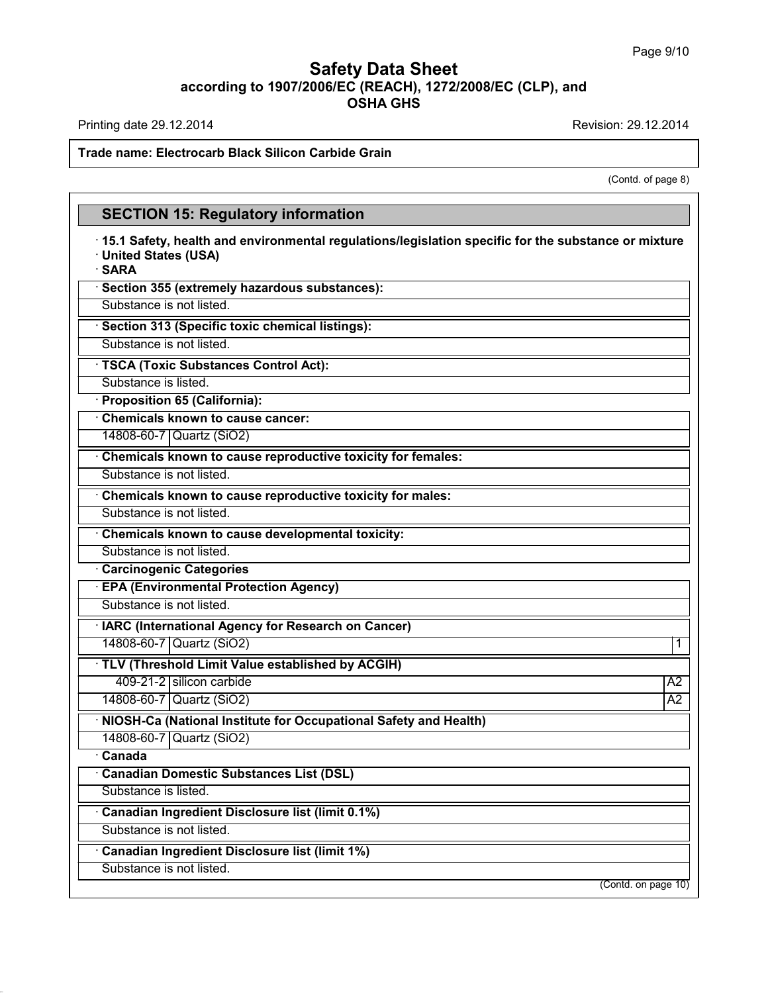Printing date 29.12.2014 **Revision: 29.12.2014** 

### **Trade name: Electrocarb Black Silicon Carbide Grain**

(Contd. of page 8)

# **SECTION 15: Regulatory information**

| 15.1 Safety, health and environmental regulations/legislation specific for the substance or mixture<br>· United States (USA)<br>· SARA |                 |
|----------------------------------------------------------------------------------------------------------------------------------------|-----------------|
| · Section 355 (extremely hazardous substances):                                                                                        |                 |
| Substance is not listed.                                                                                                               |                 |
| · Section 313 (Specific toxic chemical listings):                                                                                      |                 |
| Substance is not listed.                                                                                                               |                 |
| · TSCA (Toxic Substances Control Act):                                                                                                 |                 |
| Substance is listed.                                                                                                                   |                 |
| · Proposition 65 (California):                                                                                                         |                 |
| Chemicals known to cause cancer:                                                                                                       |                 |
| 14808-60-7 Quartz (SiO2)                                                                                                               |                 |
| Chemicals known to cause reproductive toxicity for females:                                                                            |                 |
| Substance is not listed.                                                                                                               |                 |
| Chemicals known to cause reproductive toxicity for males:                                                                              |                 |
| Substance is not listed.                                                                                                               |                 |
| <b>Chemicals known to cause developmental toxicity:</b>                                                                                |                 |
| Substance is not listed.                                                                                                               |                 |
| <b>Carcinogenic Categories</b>                                                                                                         |                 |
| <b>EPA (Environmental Protection Agency)</b>                                                                                           |                 |
| Substance is not listed.                                                                                                               |                 |
| · IARC (International Agency for Research on Cancer)                                                                                   |                 |
| 14808-60-7   Quartz (SiO2)                                                                                                             | 1               |
| · TLV (Threshold Limit Value established by ACGIH)                                                                                     |                 |
| 409-21-2 silicon carbide                                                                                                               | A <sub>2</sub>  |
| 14808-60-7 Quartz (SiO2)                                                                                                               | $\overline{A2}$ |
| · NIOSH-Ca (National Institute for Occupational Safety and Health)                                                                     |                 |
| 14808-60-7 Quartz (SiO2)                                                                                                               |                 |
| · Canada                                                                                                                               |                 |
| · Canadian Domestic Substances List (DSL)                                                                                              |                 |
| Substance is listed.                                                                                                                   |                 |
| Canadian Ingredient Disclosure list (limit 0.1%)                                                                                       |                 |
| Substance is not listed.                                                                                                               |                 |
| Canadian Ingredient Disclosure list (limit 1%)                                                                                         |                 |
| Substance is not listed.                                                                                                               |                 |
| (Contd. on page 10)                                                                                                                    |                 |